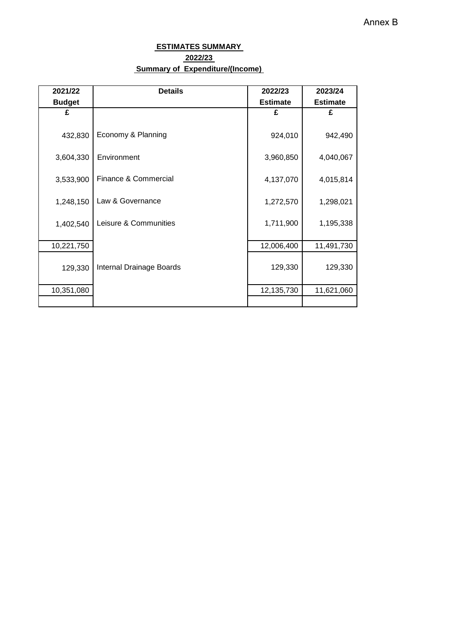### **ESTIMATES SUMMARY 2022/23 Summary of Expenditure/(Income)**

| 2021/22       | <b>Details</b>           | 2022/23         | 2023/24         |
|---------------|--------------------------|-----------------|-----------------|
| <b>Budget</b> |                          | <b>Estimate</b> | <b>Estimate</b> |
| £             |                          | £               | £               |
| 432,830       | Economy & Planning       | 924,010         | 942,490         |
| 3,604,330     | Environment              | 3,960,850       | 4,040,067       |
| 3,533,900     | Finance & Commercial     | 4,137,070       | 4,015,814       |
| 1,248,150     | Law & Governance         | 1,272,570       | 1,298,021       |
| 1,402,540     | Leisure & Communities    | 1,711,900       | 1,195,338       |
| 10,221,750    |                          | 12,006,400      | 11,491,730      |
| 129,330       | Internal Drainage Boards | 129,330         | 129,330         |
| 10,351,080    |                          | 12,135,730      | 11,621,060      |
|               |                          |                 |                 |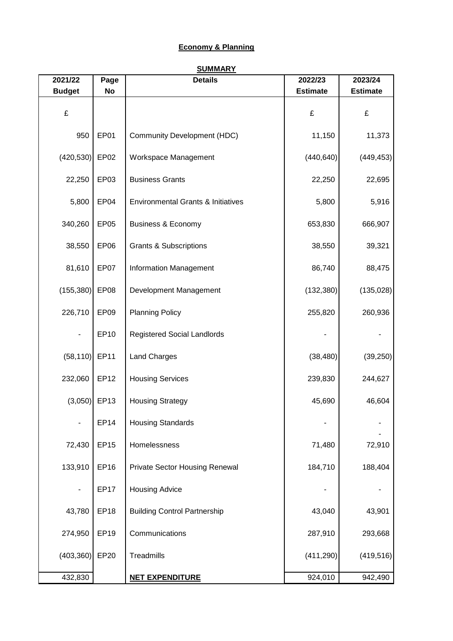### **Economy & Planning**

| LUVIIVIII W LIGHTIIII M |      |                |                 |                 |  |  |
|-------------------------|------|----------------|-----------------|-----------------|--|--|
| <b>SUMMARY</b>          |      |                |                 |                 |  |  |
| 2021/22                 | Page | <b>Details</b> | 2022/23         | 2023/24         |  |  |
| <b>Budget</b>           | No   |                | <b>Estimate</b> | <b>Estimate</b> |  |  |

| <b>Budget</b>    | No               |                                       | <b>Estimate</b> | <b>Estimate</b> |
|------------------|------------------|---------------------------------------|-----------------|-----------------|
| £                |                  |                                       | £               | £               |
| 950              | EP01             | <b>Community Development (HDC)</b>    | 11,150          | 11,373          |
| (420, 530)       | EP <sub>02</sub> | Workspace Management                  | (440, 640)      | (449, 453)      |
| 22,250           | EP03             | <b>Business Grants</b>                | 22,250          | 22,695          |
| 5,800            | EP04             | Environmental Grants & Initiatives    | 5,800           | 5,916           |
| 340,260          | EP <sub>05</sub> | <b>Business &amp; Economy</b>         | 653,830         | 666,907         |
| 38,550           | EP06             | <b>Grants &amp; Subscriptions</b>     | 38,550          | 39,321          |
| 81,610           | EP07             | Information Management                | 86,740          | 88,475          |
| (155, 380)       | EP08             | Development Management                | (132, 380)      | (135, 028)      |
| 226,710          | EP09             | <b>Planning Policy</b>                | 255,820         | 260,936         |
|                  | EP10             | <b>Registered Social Landlords</b>    |                 |                 |
| $(58, 110)$ EP11 |                  | Land Charges                          | (38, 480)       | (39, 250)       |
| 232,060          | EP12             | <b>Housing Services</b>               | 239,830         | 244,627         |
| $(3,050)$ EP13   |                  | <b>Housing Strategy</b>               | 45,690          | 46,604          |
|                  | <b>EP14</b>      | <b>Housing Standards</b>              |                 |                 |
| 72,430           | EP15             | Homelessness                          | 71,480          | 72,910          |
| 133,910          | EP16             | <b>Private Sector Housing Renewal</b> | 184,710         | 188,404         |
|                  | <b>EP17</b>      | <b>Housing Advice</b>                 |                 |                 |
| 43,780           | <b>EP18</b>      | <b>Building Control Partnership</b>   | 43,040          | 43,901          |
| 274,950          | <b>EP19</b>      | Communications                        | 287,910         | 293,668         |
| (403, 360)       | EP20             | Treadmills                            | (411, 290)      | (419, 516)      |
| 432,830          |                  | <b>NET EXPENDITURE</b>                | 924,010         | 942,490         |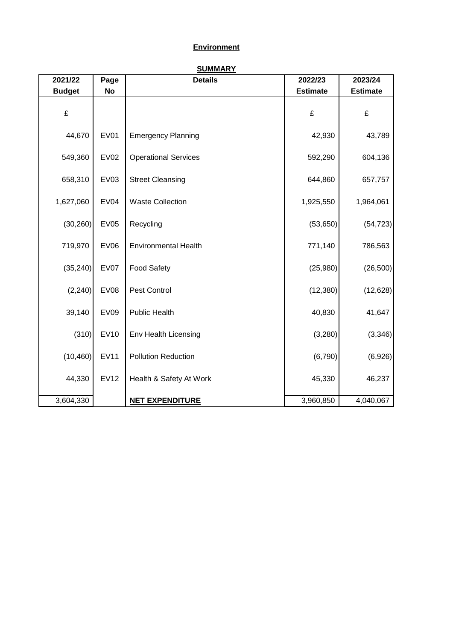# **Environment**

| 2021/22       | Page        | <b>Details</b>              | 2022/23         | 2023/24         |
|---------------|-------------|-----------------------------|-----------------|-----------------|
| <b>Budget</b> | <b>No</b>   |                             | <b>Estimate</b> | <b>Estimate</b> |
| £             |             |                             | £               | £               |
| 44,670        | <b>EV01</b> | <b>Emergency Planning</b>   | 42,930          | 43,789          |
| 549,360       | <b>EV02</b> | <b>Operational Services</b> | 592,290         | 604,136         |
| 658,310       | <b>EV03</b> | <b>Street Cleansing</b>     | 644,860         | 657,757         |
| 1,627,060     | <b>EV04</b> | <b>Waste Collection</b>     | 1,925,550       | 1,964,061       |
| (30, 260)     | <b>EV05</b> | Recycling                   | (53,650)        | (54, 723)       |
| 719,970       | <b>EV06</b> | <b>Environmental Health</b> | 771,140         | 786,563         |
| (35, 240)     | EV07        | <b>Food Safety</b>          | (25,980)        | (26, 500)       |
| (2, 240)      | <b>EV08</b> | Pest Control                | (12, 380)       | (12, 628)       |
| 39,140        | <b>EV09</b> | <b>Public Health</b>        | 40,830          | 41,647          |
| (310)         | <b>EV10</b> | Env Health Licensing        | (3,280)         | (3,346)         |
| (10, 460)     | <b>EV11</b> | <b>Pollution Reduction</b>  | (6,790)         | (6,926)         |
| 44,330        | <b>EV12</b> | Health & Safety At Work     | 45,330          | 46,237          |
| 3,604,330     |             | <b>NET EXPENDITURE</b>      | 3,960,850       | 4,040,067       |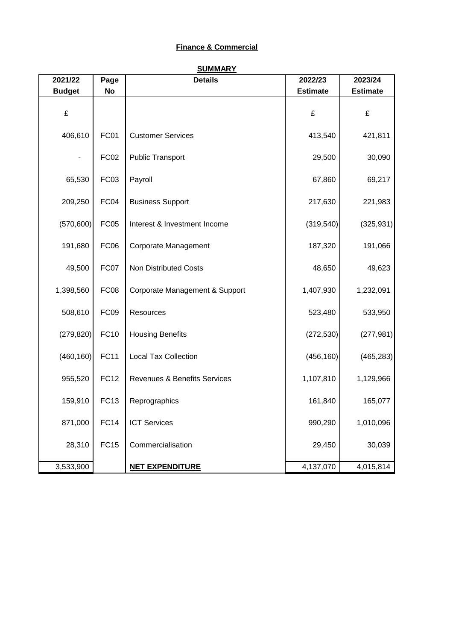# **Finance & Commercial**

| 2021/22       | Page        | <b>Details</b>                          | 2022/23         | 2023/24         |
|---------------|-------------|-----------------------------------------|-----------------|-----------------|
| <b>Budget</b> | <b>No</b>   |                                         | <b>Estimate</b> | <b>Estimate</b> |
| £             |             |                                         | £               | £               |
| 406,610       | FC01        | <b>Customer Services</b>                | 413,540         | 421,811         |
|               | FC02        | <b>Public Transport</b>                 | 29,500          | 30,090          |
| 65,530        | FC03        | Payroll                                 | 67,860          | 69,217          |
| 209,250       | FC04        | <b>Business Support</b>                 | 217,630         | 221,983         |
| (570, 600)    | <b>FC05</b> | Interest & Investment Income            | (319, 540)      | (325, 931)      |
| 191,680       | <b>FC06</b> | Corporate Management                    | 187,320         | 191,066         |
| 49,500        | FC07        | <b>Non Distributed Costs</b>            | 48,650          | 49,623          |
| 1,398,560     | <b>FC08</b> | Corporate Management & Support          | 1,407,930       | 1,232,091       |
| 508,610       | FC09        | Resources                               | 523,480         | 533,950         |
| (279, 820)    | <b>FC10</b> | <b>Housing Benefits</b>                 | (272, 530)      | (277, 981)      |
| (460, 160)    | <b>FC11</b> | <b>Local Tax Collection</b>             | (456, 160)      | (465, 283)      |
| 955,520       | <b>FC12</b> | <b>Revenues &amp; Benefits Services</b> | 1,107,810       | 1,129,966       |
| 159,910       | <b>FC13</b> | Reprographics                           | 161,840         | 165,077         |
| 871,000       | <b>FC14</b> | <b>ICT Services</b>                     | 990,290         | 1,010,096       |
| 28,310        | <b>FC15</b> | Commercialisation                       | 29,450          | 30,039          |
| 3,533,900     |             | <b>NET EXPENDITURE</b>                  | 4,137,070       | 4,015,814       |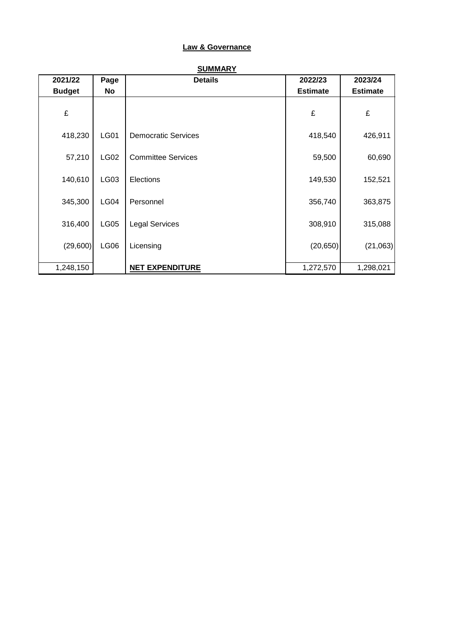### **Law & Governance**

| 2021/22       | Page        | <b>Details</b>             | 2022/23         | 2023/24         |
|---------------|-------------|----------------------------|-----------------|-----------------|
| <b>Budget</b> | No          |                            | <b>Estimate</b> | <b>Estimate</b> |
| £             |             |                            | £               | £               |
| 418,230       | <b>LG01</b> | <b>Democratic Services</b> | 418,540         | 426,911         |
| 57,210        | <b>LG02</b> | <b>Committee Services</b>  | 59,500          | 60,690          |
| 140,610       | LG03        | Elections                  | 149,530         | 152,521         |
| 345,300       | LG04        | Personnel                  | 356,740         | 363,875         |
| 316,400       | <b>LG05</b> | <b>Legal Services</b>      | 308,910         | 315,088         |
| (29,600)      | LG06        | Licensing                  | (20, 650)       | (21,063)        |
| 1,248,150     |             | <b>NET EXPENDITURE</b>     | 1,272,570       | 1,298,021       |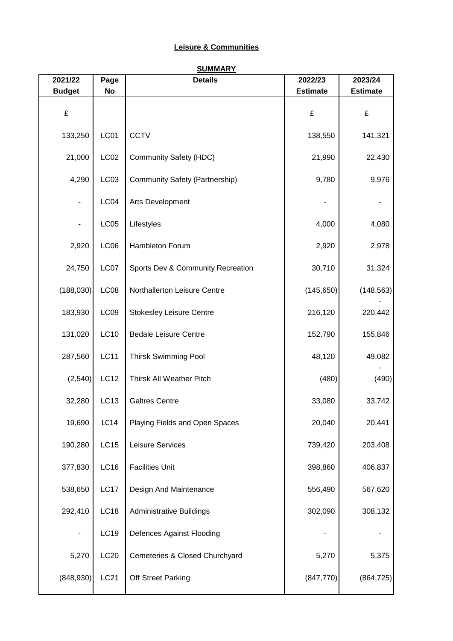# **Leisure & Communities**

| 2021/22       | Page             | <b>Details</b>                        | 2022/23         | 2023/24         |
|---------------|------------------|---------------------------------------|-----------------|-----------------|
| <b>Budget</b> | No               |                                       | <b>Estimate</b> | <b>Estimate</b> |
| £             |                  |                                       | £               | £               |
| 133,250       | LC01             | <b>CCTV</b>                           | 138,550         | 141,321         |
| 21,000        | LC <sub>02</sub> | <b>Community Safety (HDC)</b>         | 21,990          | 22,430          |
| 4,290         | LC03             | <b>Community Safety (Partnership)</b> | 9,780           | 9,976           |
|               | LCO4             | Arts Development                      |                 |                 |
|               | <b>LC05</b>      | Lifestyles                            | 4,000           | 4,080           |
| 2,920         | LCO6             | Hambleton Forum                       | 2,920           | 2,978           |
| 24,750        | LC07             | Sports Dev & Community Recreation     | 30,710          | 31,324          |
| (188,030)     | LC08             | Northallerton Leisure Centre          | (145, 650)      | (148, 563)      |
| 183,930       | LCO9             | <b>Stokesley Leisure Centre</b>       | 216,120         | 220,442         |
| 131,020       | <b>LC10</b>      | <b>Bedale Leisure Centre</b>          | 152,790         | 155,846         |
| 287,560       | <b>LC11</b>      | <b>Thirsk Swimming Pool</b>           | 48,120          | 49,082          |
| (2,540)       | LC12             | Thirsk All Weather Pitch              | (480)           | (490)           |
| 32,280        | LC13             | <b>Galtres Centre</b>                 | 33,080          | 33,742          |
| 19,690        | LC14             | Playing Fields and Open Spaces        | 20,040          | 20,441          |
| 190,280       | <b>LC15</b>      | Leisure Services                      | 739,420         | 203,408         |
| 377,830       | LC16             | <b>Facilities Unit</b>                | 398,860         | 406,837         |
| 538,650       | LC17             | Design And Maintenance                | 556,490         | 567,620         |
| 292,410       | <b>LC18</b>      | <b>Administrative Buildings</b>       | 302,090         | 308,132         |
|               | LC19             | Defences Against Flooding             |                 |                 |
| 5,270         | LC20             | Cemeteries & Closed Churchyard        | 5,270           | 5,375           |
| (848,930)     | <b>LC21</b>      | Off Street Parking                    | (847, 770)      | (864, 725)      |